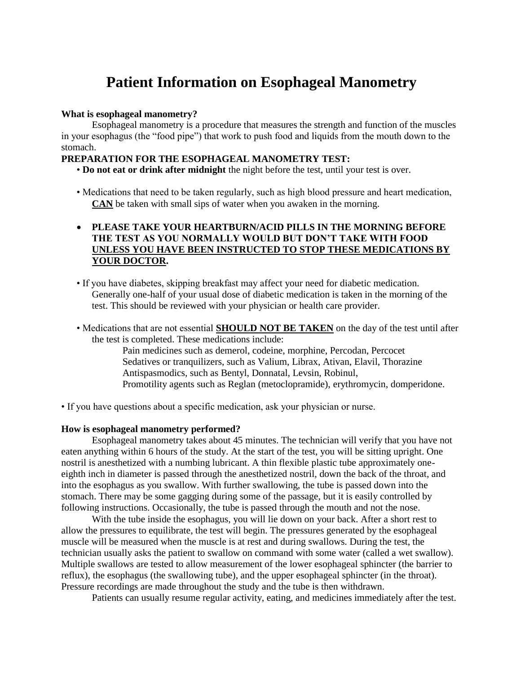# **Patient Information on Esophageal Manometry**

### **What is esophageal manometry?**

Esophageal manometry is a procedure that measures the strength and function of the muscles in your esophagus (the "food pipe") that work to push food and liquids from the mouth down to the stomach.

## **PREPARATION FOR THE ESOPHAGEAL MANOMETRY TEST:**

• **Do not eat or drink after midnight** the night before the test, until your test is over.

• Medications that need to be taken regularly, such as high blood pressure and heart medication, **CAN** be taken with small sips of water when you awaken in the morning.

## **PLEASE TAKE YOUR HEARTBURN/ACID PILLS IN THE MORNING BEFORE THE TEST AS YOU NORMALLY WOULD BUT DON'T TAKE WITH FOOD UNLESS YOU HAVE BEEN INSTRUCTED TO STOP THESE MEDICATIONS BY YOUR DOCTOR.**

- If you have diabetes, skipping breakfast may affect your need for diabetic medication. Generally one-half of your usual dose of diabetic medication is taken in the morning of the test. This should be reviewed with your physician or health care provider.
- Medications that are not essential **SHOULD NOT BE TAKEN** on the day of the test until after the test is completed. These medications include:

Pain medicines such as demerol, codeine, morphine, Percodan, Percocet Sedatives or tranquilizers, such as Valium, Librax, Ativan, Elavil, Thorazine Antispasmodics, such as Bentyl, Donnatal, Levsin, Robinul, Promotility agents such as Reglan (metoclopramide), erythromycin, domperidone.

• If you have questions about a specific medication, ask your physician or nurse.

### **How is esophageal manometry performed?**

Esophageal manometry takes about 45 minutes. The technician will verify that you have not eaten anything within 6 hours of the study. At the start of the test, you will be sitting upright. One nostril is anesthetized with a numbing lubricant. A thin flexible plastic tube approximately oneeighth inch in diameter is passed through the anesthetized nostril, down the back of the throat, and into the esophagus as you swallow. With further swallowing, the tube is passed down into the stomach. There may be some gagging during some of the passage, but it is easily controlled by following instructions. Occasionally, the tube is passed through the mouth and not the nose.

With the tube inside the esophagus, you will lie down on your back. After a short rest to allow the pressures to equilibrate, the test will begin. The pressures generated by the esophageal muscle will be measured when the muscle is at rest and during swallows. During the test, the technician usually asks the patient to swallow on command with some water (called a wet swallow). Multiple swallows are tested to allow measurement of the lower esophageal sphincter (the barrier to reflux), the esophagus (the swallowing tube), and the upper esophageal sphincter (in the throat). Pressure recordings are made throughout the study and the tube is then withdrawn.

Patients can usually resume regular activity, eating, and medicines immediately after the test.